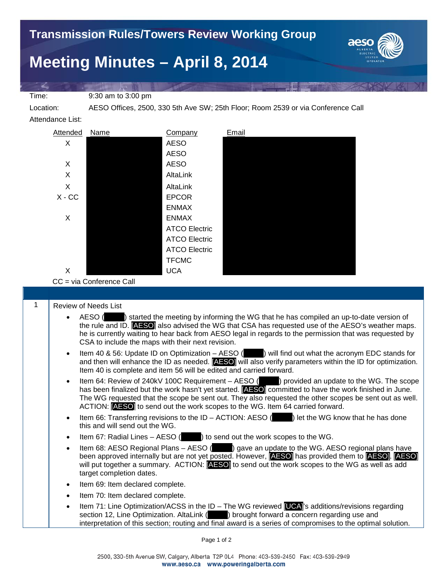## **Meeting Minutes – April 8, 2014**



Time: 9:30 am to 3:00 pm

Location: AESO Offices, 2500, 330 5th Ave SW; 25th Floor; Room 2539 or via Conference Call

Attendance List:



CC = via Conference Call

|  | <b>Review of Needs List</b>                                                                                                                                                                                                                                                                                                                                                                                                           |
|--|---------------------------------------------------------------------------------------------------------------------------------------------------------------------------------------------------------------------------------------------------------------------------------------------------------------------------------------------------------------------------------------------------------------------------------------|
|  | started the meeting by informing the WG that he has compiled an up-to-date version of<br>AESO (<br>$\bullet$<br>the rule and ID. <b>AESO</b> also advised the WG that CSA has requested use of the AESO's weather maps.<br>he is currently waiting to hear back from AESO legal in regards to the permission that was requested by<br>CSA to include the maps with their next revision.                                               |
|  | Item 40 & 56: Update ID on Optimization $-$ AESO ( $\blacksquare$ ) will find out what the acronym EDC stands for<br>$\bullet$<br>and then will enhance the ID as needed. <b>AESO</b> will also verify parameters within the ID for optimization.<br>Item 40 is complete and item 56 will be edited and carried forward.                                                                                                              |
|  | Item 64: Review of 240kV 100C Requirement $-$ AESO ( $\qquad$ ) provided an update to the WG. The scope<br>$\bullet$<br>has been finalized but the work hasn't yet started. <b>AESO</b> committed to have the work finished in June.<br>The WG requested that the scope be sent out. They also requested the other scopes be sent out as well.<br>ACTION: <b>AESO</b> to send out the work scopes to the WG. Item 64 carried forward. |

- Item 66: Transferring revisions to the ID ACTION: AESO ( $\Box$ ) let the WG know that he has done this and will send out the WG.
- Item 67: Radial Lines AESO ( $\qquad$ ) to send out the work scopes to the WG.
- Item 68: AESO Regional Plans AESO (\_\_\_\_\_) gave an update to the WG. AESO regional plans have been approved internally but are not yet posted. However, **[AESO]** has provided them to **[AESO]**. **[AESO]** will put together a summary. ACTION: **[AESO]** to send out the work scopes to the WG as well as add target completion dates.
- Item 69: Item declared complete.
- Item 70: Item declared complete.
- Item 71: Line Optimization/ACSS in the ID The WG reviewed [UCA]'s additions/revisions regarding section 12, Line Optimization. AltaLink (see ) brought forward a concern regarding use and interpretation of this section; routing and final award is a series of compromises to the optimal solution.

Page 1 of 2